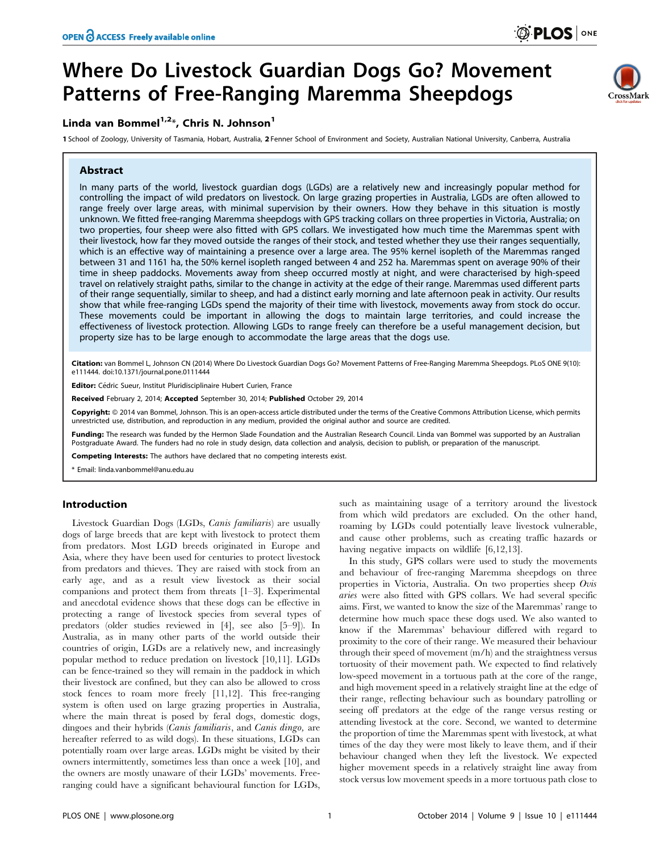# Where Do Livestock Guardian Dogs Go? Movement Patterns of Free-Ranging Maremma Sheepdogs

# Linda van Bommel $1,2*$ , Chris N. Johnson $1$

1 School of Zoology, University of Tasmania, Hobart, Australia, 2 Fenner School of Environment and Society, Australian National University, Canberra, Australia

# Abstract

In many parts of the world, livestock guardian dogs (LGDs) are a relatively new and increasingly popular method for controlling the impact of wild predators on livestock. On large grazing properties in Australia, LGDs are often allowed to range freely over large areas, with minimal supervision by their owners. How they behave in this situation is mostly unknown. We fitted free-ranging Maremma sheepdogs with GPS tracking collars on three properties in Victoria, Australia; on two properties, four sheep were also fitted with GPS collars. We investigated how much time the Maremmas spent with their livestock, how far they moved outside the ranges of their stock, and tested whether they use their ranges sequentially, which is an effective way of maintaining a presence over a large area. The 95% kernel isopleth of the Maremmas ranged between 31 and 1161 ha, the 50% kernel isopleth ranged between 4 and 252 ha. Maremmas spent on average 90% of their time in sheep paddocks. Movements away from sheep occurred mostly at night, and were characterised by high-speed travel on relatively straight paths, similar to the change in activity at the edge of their range. Maremmas used different parts of their range sequentially, similar to sheep, and had a distinct early morning and late afternoon peak in activity. Our results show that while free-ranging LGDs spend the majority of their time with livestock, movements away from stock do occur. These movements could be important in allowing the dogs to maintain large territories, and could increase the effectiveness of livestock protection. Allowing LGDs to range freely can therefore be a useful management decision, but property size has to be large enough to accommodate the large areas that the dogs use.

Citation: van Bommel L, Johnson CN (2014) Where Do Livestock Guardian Dogs Go? Movement Patterns of Free-Ranging Maremma Sheepdogs. PLoS ONE 9(10): e111444. doi:10.1371/journal.pone.0111444

Editor: Cédric Sueur, Institut Pluridisciplinaire Hubert Curien, France

Received February 2, 2014; Accepted September 30, 2014; Published October 29, 2014

Copyright: © 2014 van Bommel, Johnson. This is an open-access article distributed under the terms of the [Creative Commons Attribution License](http://creativecommons.org/licenses/by/4.0/), which permits unrestricted use, distribution, and reproduction in any medium, provided the original author and source are credited.

Funding: The research was funded by the Hermon Slade Foundation and the Australian Research Council. Linda van Bommel was supported by an Australian Postgraduate Award. The funders had no role in study design, data collection and analysis, decision to publish, or preparation of the manuscript.

Competing Interests: The authors have declared that no competing interests exist.

\* Email: linda.vanbommel@anu.edu.au

# Introduction

Livestock Guardian Dogs (LGDs, Canis familiaris) are usually dogs of large breeds that are kept with livestock to protect them from predators. Most LGD breeds originated in Europe and Asia, where they have been used for centuries to protect livestock from predators and thieves. They are raised with stock from an early age, and as a result view livestock as their social companions and protect them from threats [1–3]. Experimental and anecdotal evidence shows that these dogs can be effective in protecting a range of livestock species from several types of predators (older studies reviewed in [4], see also [5–9]). In Australia, as in many other parts of the world outside their countries of origin, LGDs are a relatively new, and increasingly popular method to reduce predation on livestock [10,11]. LGDs can be fence-trained so they will remain in the paddock in which their livestock are confined, but they can also be allowed to cross stock fences to roam more freely [11,12]. This free-ranging system is often used on large grazing properties in Australia, where the main threat is posed by feral dogs, domestic dogs, dingoes and their hybrids (Canis familiaris, and Canis dingo, are hereafter referred to as wild dogs). In these situations, LGDs can potentially roam over large areas. LGDs might be visited by their owners intermittently, sometimes less than once a week [10], and the owners are mostly unaware of their LGDs' movements. Freeranging could have a significant behavioural function for LGDs,

such as maintaining usage of a territory around the livestock from which wild predators are excluded. On the other hand, roaming by LGDs could potentially leave livestock vulnerable, and cause other problems, such as creating traffic hazards or having negative impacts on wildlife [6,12,13].

In this study, GPS collars were used to study the movements and behaviour of free-ranging Maremma sheepdogs on three properties in Victoria, Australia. On two properties sheep Ovis aries were also fitted with GPS collars. We had several specific aims. First, we wanted to know the size of the Maremmas' range to determine how much space these dogs used. We also wanted to know if the Maremmas' behaviour differed with regard to proximity to the core of their range. We measured their behaviour through their speed of movement (m/h) and the straightness versus tortuosity of their movement path. We expected to find relatively low-speed movement in a tortuous path at the core of the range, and high movement speed in a relatively straight line at the edge of their range, reflecting behaviour such as boundary patrolling or seeing off predators at the edge of the range versus resting or attending livestock at the core. Second, we wanted to determine the proportion of time the Maremmas spent with livestock, at what times of the day they were most likely to leave them, and if their behaviour changed when they left the livestock. We expected higher movement speeds in a relatively straight line away from stock versus low movement speeds in a more tortuous path close to

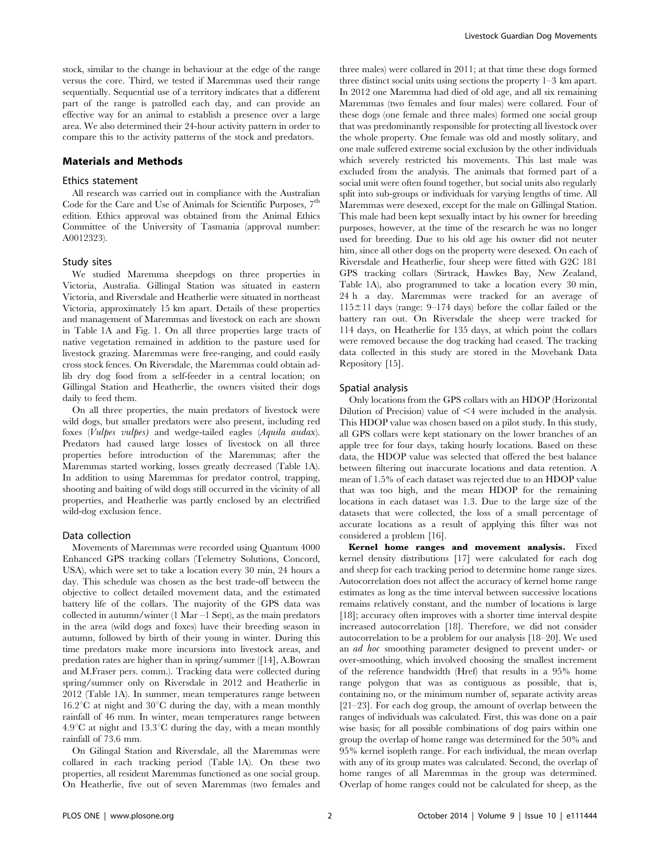stock, similar to the change in behaviour at the edge of the range versus the core. Third, we tested if Maremmas used their range sequentially. Sequential use of a territory indicates that a different part of the range is patrolled each day, and can provide an effective way for an animal to establish a presence over a large area. We also determined their 24-hour activity pattern in order to compare this to the activity patterns of the stock and predators.

#### Materials and Methods

#### Ethics statement

All research was carried out in compliance with the Australian Code for the Care and Use of Animals for Scientific Purposes,  $7<sup>th</sup>$ edition. Ethics approval was obtained from the Animal Ethics Committee of the University of Tasmania (approval number: A0012323).

#### Study sites

We studied Maremma sheepdogs on three properties in Victoria, Australia. Gillingal Station was situated in eastern Victoria, and Riversdale and Heatherlie were situated in northeast Victoria, approximately 15 km apart. Details of these properties and management of Maremmas and livestock on each are shown in Table 1A and Fig. 1. On all three properties large tracts of native vegetation remained in addition to the pasture used for livestock grazing. Maremmas were free-ranging, and could easily cross stock fences. On Riversdale, the Maremmas could obtain adlib dry dog food from a self-feeder in a central location; on Gillingal Station and Heatherlie, the owners visited their dogs daily to feed them.

On all three properties, the main predators of livestock were wild dogs, but smaller predators were also present, including red foxes (Vulpes vulpes) and wedge-tailed eagles (Aquila audax). Predators had caused large losses of livestock on all three properties before introduction of the Maremmas; after the Maremmas started working, losses greatly decreased (Table 1A). In addition to using Maremmas for predator control, trapping, shooting and baiting of wild dogs still occurred in the vicinity of all properties, and Heatherlie was partly enclosed by an electrified wild-dog exclusion fence.

#### Data collection

Movements of Maremmas were recorded using Quantum 4000 Enhanced GPS tracking collars (Telemetry Solutions, Concord, USA), which were set to take a location every 30 min, 24 hours a day. This schedule was chosen as the best trade-off between the objective to collect detailed movement data, and the estimated battery life of the collars. The majority of the GPS data was collected in autumn/winter (1 Mar –1 Sept), as the main predators in the area (wild dogs and foxes) have their breeding season in autumn, followed by birth of their young in winter. During this time predators make more incursions into livestock areas, and predation rates are higher than in spring/summer ([14], A.Bowran and M.Fraser pers. comm.). Tracking data were collected during spring/summer only on Riversdale in 2012 and Heatherlie in 2012 (Table 1A). In summer, mean temperatures range between  $16.2^{\circ}$ C at night and  $30^{\circ}$ C during the day, with a mean monthly rainfall of 46 mm. In winter, mean temperatures range between  $4.9^{\circ}$ C at night and 13.3 $^{\circ}$ C during the day, with a mean monthly rainfall of 73.6 mm.

On Gilingal Station and Riversdale, all the Maremmas were collared in each tracking period (Table 1A). On these two properties, all resident Maremmas functioned as one social group. On Heatherlie, five out of seven Maremmas (two females and three males) were collared in 2011; at that time these dogs formed three distinct social units using sections the property 1–3 km apart. In 2012 one Maremma had died of old age, and all six remaining Maremmas (two females and four males) were collared. Four of these dogs (one female and three males) formed one social group that was predominantly responsible for protecting all livestock over the whole property. One female was old and mostly solitary, and one male suffered extreme social exclusion by the other individuals which severely restricted his movements. This last male was excluded from the analysis. The animals that formed part of a social unit were often found together, but social units also regularly split into sub-groups or individuals for varying lengths of time. All Maremmas were desexed, except for the male on Gillingal Station. This male had been kept sexually intact by his owner for breeding purposes, however, at the time of the research he was no longer used for breeding. Due to his old age his owner did not neuter him, since all other dogs on the property were desexed. On each of Riversdale and Heatherlie, four sheep were fitted with G2C 181 GPS tracking collars (Sirtrack, Hawkes Bay, New Zealand, Table 1A), also programmed to take a location every 30 min, 24 h a day. Maremmas were tracked for an average of  $115\pm11$  days (range: 9–174 days) before the collar failed or the battery ran out. On Riversdale the sheep were tracked for 114 days, on Heatherlie for 135 days, at which point the collars were removed because the dog tracking had ceased. The tracking data collected in this study are stored in the Movebank Data Repository [15].

### Spatial analysis

Only locations from the GPS collars with an HDOP (Horizontal Dilution of Precision) value of  $\leq 4$  were included in the analysis. This HDOP value was chosen based on a pilot study. In this study, all GPS collars were kept stationary on the lower branches of an apple tree for four days, taking hourly locations. Based on these data, the HDOP value was selected that offered the best balance between filtering out inaccurate locations and data retention. A mean of 1.5% of each dataset was rejected due to an HDOP value that was too high, and the mean HDOP for the remaining locations in each dataset was 1.3. Due to the large size of the datasets that were collected, the loss of a small percentage of accurate locations as a result of applying this filter was not considered a problem [16].

Kernel home ranges and movement analysis. Fixed kernel density distributions [17] were calculated for each dog and sheep for each tracking period to determine home range sizes. Autocorrelation does not affect the accuracy of kernel home range estimates as long as the time interval between successive locations remains relatively constant, and the number of locations is large [18]; accuracy often improves with a shorter time interval despite increased autocorrelation [18]. Therefore, we did not consider autocorrelation to be a problem for our analysis [18–20]. We used an ad hoc smoothing parameter designed to prevent under- or over-smoothing, which involved choosing the smallest increment of the reference bandwidth (Href) that results in a 95% home range polygon that was as contiguous as possible, that is, containing no, or the minimum number of, separate activity areas [21–23]. For each dog group, the amount of overlap between the ranges of individuals was calculated. First, this was done on a pair wise basis; for all possible combinations of dog pairs within one group the overlap of home range was determined for the 50% and 95% kernel isopleth range. For each individual, the mean overlap with any of its group mates was calculated. Second, the overlap of home ranges of all Maremmas in the group was determined. Overlap of home ranges could not be calculated for sheep, as the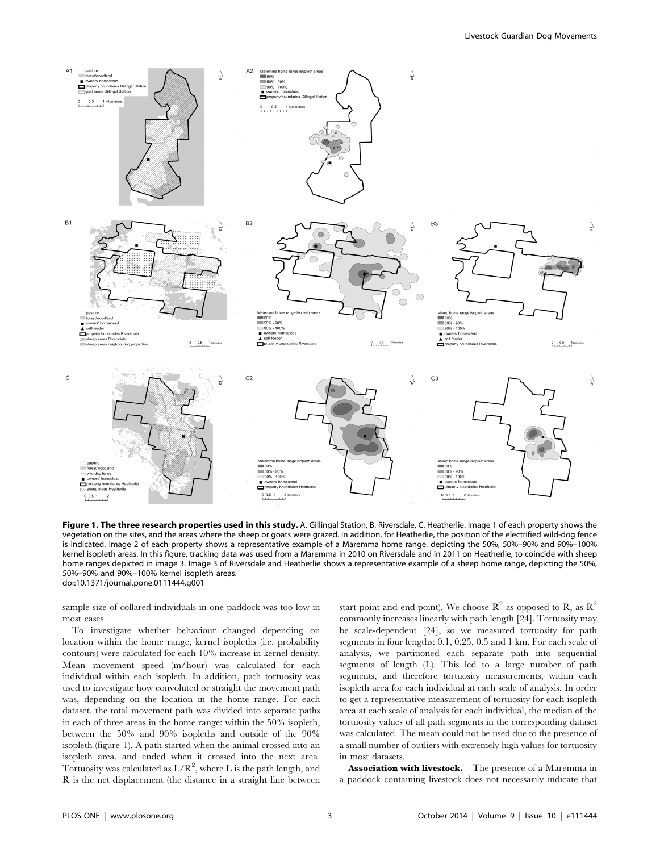

Figure 1. The three research properties used in this study. A. Gillingal Station, B. Riversdale, C. Heatherlie. Image 1 of each property shows the vegetation on the sites, and the areas where the sheep or goats were grazed. In addition, for Heatherlie, the position of the electrified wild-dog fence is indicated. Image 2 of each property shows a representative example of a Maremma home range, depicting the 50%, 50%–90% and 90%–100% kernel isopleth areas. In this figure, tracking data was used from a Maremma in 2010 on Riversdale and in 2011 on Heatherlie, to coincide with sheep home ranges depicted in image 3. Image 3 of Riversdale and Heatherlie shows a representative example of a sheep home range, depicting the 50%, 50%–90% and 90%–100% kernel isopleth areas. doi:10.1371/journal.pone.0111444.g001

sample size of collared individuals in one paddock was too low in most cases.

To investigate whether behaviour changed depending on location within the home range, kernel isopleths (i.e. probability contours) were calculated for each 10% increase in kernel density. Mean movement speed (m/hour) was calculated for each individual within each isopleth. In addition, path tortuosity was used to investigate how convoluted or straight the movement path was, depending on the location in the home range. For each dataset, the total movement path was divided into separate paths in each of three areas in the home range: within the 50% isopleth, between the 50% and 90% isopleths and outside of the 90% isopleth (figure 1). A path started when the animal crossed into an isopleth area, and ended when it crossed into the next area. Tortuosity was calculated as  $L/R^2$ , where L is the path length, and R is the net displacement (the distance in a straight line between start point and end point). We choose  $\mathbb{R}^2$  as opposed to R, as  $\mathbb{R}^2$ commonly increases linearly with path length [24]. Tortuosity may be scale-dependent [24], so we measured tortuosity for path segments in four lengths: 0.1, 0.25, 0.5 and 1 km. For each scale of analysis, we partitioned each separate path into sequential segments of length (L). This led to a large number of path segments, and therefore tortuosity measurements, within each isopleth area for each individual at each scale of analysis. In order to get a representative measurement of tortuosity for each isopleth area at each scale of analysis for each individual, the median of the tortuosity values of all path segments in the corresponding dataset was calculated. The mean could not be used due to the presence of a small number of outliers with extremely high values for tortuosity in most datasets.

Association with livestock. The presence of a Maremma in a paddock containing livestock does not necessarily indicate that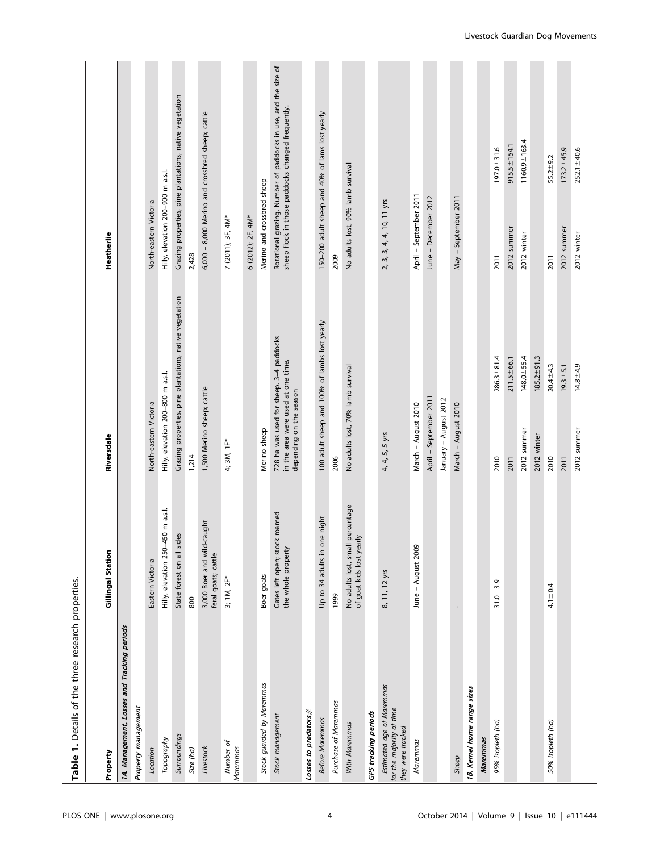| Table 1. Details of the three research properties.                         |                                                              |                                                                                                          |                                                         |                                                  |                                                                                                                     |
|----------------------------------------------------------------------------|--------------------------------------------------------------|----------------------------------------------------------------------------------------------------------|---------------------------------------------------------|--------------------------------------------------|---------------------------------------------------------------------------------------------------------------------|
|                                                                            |                                                              |                                                                                                          |                                                         |                                                  |                                                                                                                     |
| Property                                                                   | Gillingal Station                                            | Riversdale                                                                                               |                                                         | Heatherlie                                       |                                                                                                                     |
| 1A. Management, Losses and Tracking periods                                |                                                              |                                                                                                          |                                                         |                                                  |                                                                                                                     |
| Property management                                                        |                                                              |                                                                                                          |                                                         |                                                  |                                                                                                                     |
| Location                                                                   | Eastern Victoria                                             | North-eastern Victoria                                                                                   |                                                         | North-eastern Victoria                           |                                                                                                                     |
| Topography                                                                 | 50 m a.s.l.<br>Hilly, elevation 250-4!                       | Hilly, elevation 200-800 m a.s.l.                                                                        |                                                         | Hilly, elevation 200-900 m a.s.l.                |                                                                                                                     |
| Surroundings                                                               | State forest on all sides                                    |                                                                                                          | Grazing properties, pine plantations, native vegetation |                                                  | Grazing properties, pine plantations, native vegetation                                                             |
| Size (ha)                                                                  | 800                                                          | 1,214                                                                                                    |                                                         | 2,428                                            |                                                                                                                     |
| Livestock                                                                  | 3,000 Boer and wild-caught<br>feral goats; cattle            | 1,500 Merino sheep; cattle                                                                               |                                                         | 6,000 - 8,000 Merino and crossbred sheep; cattle |                                                                                                                     |
| Number of<br>Maremmas                                                      | 3; 1M, 2F*                                                   | 4; 3M, 1F*                                                                                               |                                                         | 7 (2011); 3F, 4M*                                |                                                                                                                     |
|                                                                            |                                                              |                                                                                                          |                                                         | 6 (2012); 2F, 4M*                                |                                                                                                                     |
| Stock guarded by Maremmas                                                  | Boer goats                                                   | Merino sheep                                                                                             |                                                         | Merino and crossbred sheep                       |                                                                                                                     |
| Stock management                                                           | roamed<br>Gates left open; stock<br>the whole property       | 728 ha was used for sheep. 3-4 paddocks<br>in the area were used at one time,<br>depending on the season |                                                         |                                                  | Rotational grazing. Number of paddocks in use, and the size of<br>sheep flock in those paddocks changed frequently. |
| Losses to predators#                                                       |                                                              |                                                                                                          |                                                         |                                                  |                                                                                                                     |
| <b>Before Maremmas</b>                                                     | e night<br>Up to 34 adults in on                             | 100 adult sheep and 100% of lambs lost yearly                                                            |                                                         | 150-200 adult sheep and 40% of lams lost yearly  |                                                                                                                     |
| Purchase of Maremmas                                                       | 1999                                                         | 2006                                                                                                     |                                                         | 2009                                             |                                                                                                                     |
| With Maremmas                                                              | No adults lost, small percentage<br>of goat kids lost yearly | No adults lost, 70% lamb survival                                                                        |                                                         | No adults lost, 90% lamb survival                |                                                                                                                     |
| GPS tracking periods                                                       |                                                              |                                                                                                          |                                                         |                                                  |                                                                                                                     |
| Estimated age of Maremmas<br>for the majority of time<br>they were tracked | 8, 11, 12 yrs                                                | 4, 4, 5, 5 yrs                                                                                           |                                                         | 2, 3, 3, 4, 4, 10, 11 yrs                        |                                                                                                                     |
| Maremmas                                                                   | June - August 2009                                           | March - August 2010                                                                                      |                                                         | April - September 2011                           |                                                                                                                     |
|                                                                            |                                                              | April - September 2011                                                                                   |                                                         | June - December 2012                             |                                                                                                                     |
|                                                                            |                                                              | January - August 2012                                                                                    |                                                         |                                                  |                                                                                                                     |
| Sheep                                                                      |                                                              | March - August 2010                                                                                      |                                                         | May - September 2011                             |                                                                                                                     |
| 18. Kernel home range sizes                                                |                                                              |                                                                                                          |                                                         |                                                  |                                                                                                                     |
| Maremmas                                                                   |                                                              |                                                                                                          |                                                         |                                                  |                                                                                                                     |
| 95% isopleth (ha)                                                          | $31.0 + 3.9$                                                 | 2010                                                                                                     | $286.3 + 81.4$                                          | 2011                                             | $197.0 + 31.6$                                                                                                      |
|                                                                            |                                                              | 2011                                                                                                     | $211.5 \pm 66.1$                                        | 2012 summer                                      | $915.5 \pm 154.1$                                                                                                   |
|                                                                            |                                                              | 2012 summer                                                                                              | $148.0 + 55.4$                                          | 2012 winter                                      | $1160.9 \pm 163.4$                                                                                                  |
|                                                                            |                                                              | 2012 winter                                                                                              | $185.2 + 91.3$                                          |                                                  |                                                                                                                     |
| 50% isopleth (ha)                                                          | $4.1 \pm 0.4$                                                | 2010                                                                                                     | $20.4 + 4.3$                                            | 2011                                             | $55.2 + 9.2$                                                                                                        |
|                                                                            |                                                              | 2011                                                                                                     | $19.3 + 5.1$                                            | 2012 summer                                      | $173.2 \pm 45.9$                                                                                                    |
|                                                                            |                                                              | 2012 summer                                                                                              | $14.8 + 4.9$                                            | 2012 winter                                      | $252.1 + 40.6$                                                                                                      |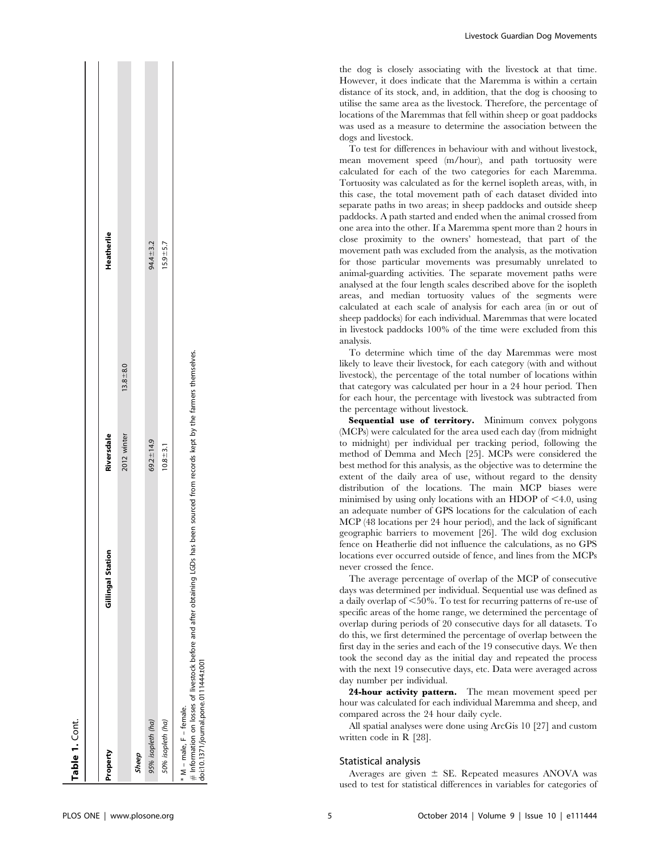| Table 1. Cont.                                                                                                                                 |                   |                                                           |              |              |
|------------------------------------------------------------------------------------------------------------------------------------------------|-------------------|-----------------------------------------------------------|--------------|--------------|
|                                                                                                                                                |                   |                                                           |              |              |
| Property                                                                                                                                       | Gillingal Station | Riversdale                                                |              | Heatherlie   |
|                                                                                                                                                |                   | 2012 winter                                               | $13.8 + 8.0$ |              |
| Sheep                                                                                                                                          |                   |                                                           |              |              |
| 95% isopleth (ha)                                                                                                                              |                   | $69.2 \pm 14.9$                                           |              | 94.4 ± 3.2   |
| 50% isopleth (ha)                                                                                                                              |                   | $10.8 + 3.1$                                              |              | $15.9 + 5.7$ |
| $#$ Information on losses of livestock before and after obtaining LGDs has<br>doi:10.1371/journal.pone.0111444.t001<br>* M - male, F - female. |                   | been sourced from records kept by the farmers themselves. |              |              |

Livestock Guardian Dog Movements

the dog is closely associating with the livestock at that time. However, it does indicate that the Maremma is within a certain distance of its stock, and, in addition, that the dog is choosing to utilise the same area as the livestock. Therefore, the percentage of locations of the Maremmas that fell within sheep or goat paddocks was used as a measure to determine the association between the dogs and livestock.

To test for differences in behaviour with and without livestock, mean movement speed (m/hour), and path tortuosity were calculated for each of the two categories for each Maremma. Tortuosity was calculated as for the kernel isopleth areas, with, in this case, the total movement path of each dataset divided into separate paths in two areas; in sheep paddocks and outside sheep paddocks. A path started and ended when the animal crossed from one area into the other. If a Maremma spent more than 2 hours in close proximity to the owners' homestead, that part of the movement path was excluded from the analysis, as the motivation for those particular movements was presumably unrelated to animal-guarding activities. The separate movement paths were analysed at the four length scales described above for the isopleth areas, and median tortuosity values of the segments were calculated at each scale of analysis for each area (in or out of sheep paddocks) for each individual. Maremmas that were located in livestock paddocks 100% of the time were excluded from this analysis.

To determine which time of the day Maremmas were most likely to leave their livestock, for each category (with and without livestock), the percentage of the total number of locations within that category was calculated per hour in a 24 hour period. Then for each hour, the percentage with livestock was subtracted from the percentage without livestock.

Sequential use of territory. Minimum convex polygons (MCPs) were calculated for the area used each day (from midnight to midnight) per individual per tracking period, following the method of Demma and Mech [25]. MCPs were considered the best method for this analysis, as the objective was to determine the extent of the daily area of use, without regard to the density distribution of the locations. The main MCP biases were minimised by using only locations with an HDOP of  $\leq 4.0$ , using an adequate number of GPS locations for the calculation of each MCP (48 locations per 24 hour period), and the lack of significant geographic barriers to movement [26]. The wild dog exclusion fence on Heatherlie did not influence the calculations, as no GPS locations ever occurred outside of fence, and lines from the MCPs never crossed the fence.

The average percentage of overlap of the MCP of consecutive days was determined per individual. Sequential use was defined as a daily overlap of  $\leq 50\%$ . To test for recurring patterns of re-use of specific areas of the home range, we determined the percentage of overlap during periods of 20 consecutive days for all datasets. To do this, we first determined the percentage of overlap between the first day in the series and each of the 19 consecutive days. We then took the second day as the initial day and repeated the process with the next 19 consecutive days, etc. Data were averaged across day number per individual.

24-hour activity pattern. The mean movement speed per hour was calculated for each individual Maremma and sheep, and compared across the 24 hour daily cycle.

All spatial analyses were done using ArcGis 10 [27] and custom written code in R [28].

### Statistical analysis

Averages are given  $\pm$  SE. Repeated measures ANOVA was used to test for statistical differences in variables for categories of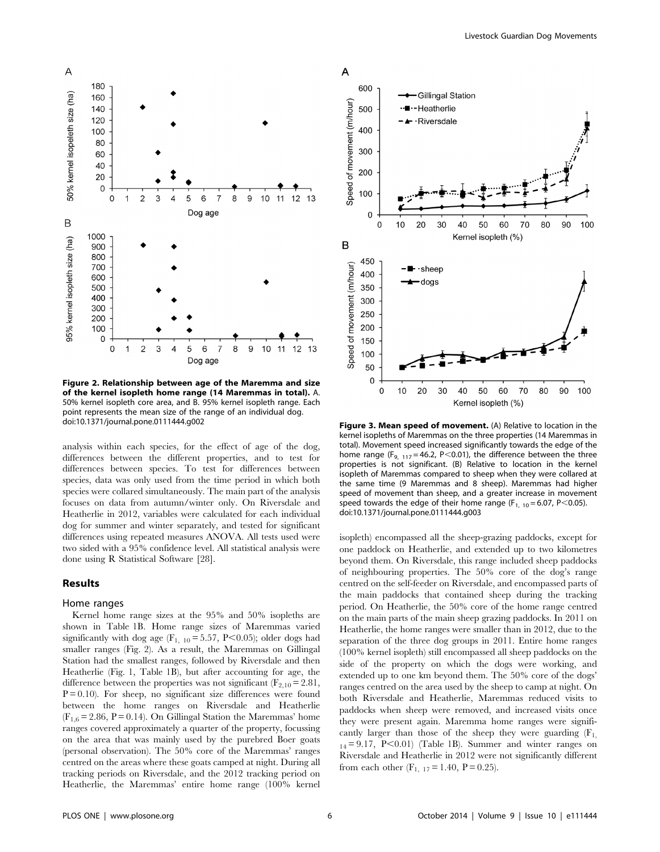

Figure 2. Relationship between age of the Maremma and size of the kernel isopleth home range (14 Maremmas in total). A. 50% kernel isopleth core area, and B. 95% kernel isopleth range. Each point represents the mean size of the range of an individual dog. doi:10.1371/journal.pone.0111444.g002 **Figure 3. Mean speed of movement.** (A) Relative to location in the

analysis within each species, for the effect of age of the dog, differences between the different properties, and to test for differences between species. To test for differences between species, data was only used from the time period in which both species were collared simultaneously. The main part of the analysis focuses on data from autumn/winter only. On Riversdale and Heatherlie in 2012, variables were calculated for each individual dog for summer and winter separately, and tested for significant differences using repeated measures ANOVA. All tests used were two sided with a 95% confidence level. All statistical analysis were done using R Statistical Software [28].

### Results

#### Home ranges

Kernel home range sizes at the 95% and 50% isopleths are shown in Table 1B. Home range sizes of Maremmas varied significantly with dog age  $(F_{1, 10} = 5.57, P < 0.05)$ ; older dogs had smaller ranges (Fig. 2). As a result, the Maremmas on Gillingal Station had the smallest ranges, followed by Riversdale and then Heatherlie (Fig. 1, Table 1B), but after accounting for age, the difference between the properties was not significant ( $F_{2,10}$  = 2.81,  $P = 0.10$ ). For sheep, no significant size differences were found between the home ranges on Riversdale and Heatherlie  $(F_{1,6} = 2.86, P = 0.14)$ . On Gillingal Station the Maremmas' home ranges covered approximately a quarter of the property, focussing on the area that was mainly used by the purebred Boer goats (personal observation). The 50% core of the Maremmas' ranges centred on the areas where these goats camped at night. During all tracking periods on Riversdale, and the 2012 tracking period on Heatherlie, the Maremmas' entire home range (100% kernel



kernel isopleths of Maremmas on the three properties (14 Maremmas in total). Movement speed increased significantly towards the edge of the home range (F<sub>9, 117</sub> = 46.2, P<0.01), the difference between the three properties is not significant. (B) Relative to location in the kernel isopleth of Maremmas compared to sheep when they were collared at the same time (9 Maremmas and 8 sheep). Maremmas had higher speed of movement than sheep, and a greater increase in movement speed towards the edge of their home range ( $F_{1, 10} = 6.07$ , P<0.05). doi:10.1371/journal.pone.0111444.g003

isopleth) encompassed all the sheep-grazing paddocks, except for one paddock on Heatherlie, and extended up to two kilometres beyond them. On Riversdale, this range included sheep paddocks of neighbouring properties. The 50% core of the dog's range centred on the self-feeder on Riversdale, and encompassed parts of the main paddocks that contained sheep during the tracking period. On Heatherlie, the 50% core of the home range centred on the main parts of the main sheep grazing paddocks. In 2011 on Heatherlie, the home ranges were smaller than in 2012, due to the separation of the three dog groups in 2011. Entire home ranges (100% kernel isopleth) still encompassed all sheep paddocks on the side of the property on which the dogs were working, and extended up to one km beyond them. The 50% core of the dogs' ranges centred on the area used by the sheep to camp at night. On both Riversdale and Heatherlie, Maremmas reduced visits to paddocks when sheep were removed, and increased visits once they were present again. Maremma home ranges were significantly larger than those of the sheep they were guarding  $(F_1)$ ,  $_{14}$  = 9.17, P<0.01) (Table 1B). Summer and winter ranges on Riversdale and Heatherlie in 2012 were not significantly different from each other  $(F_{1, 17} = 1.40, P = 0.25)$ .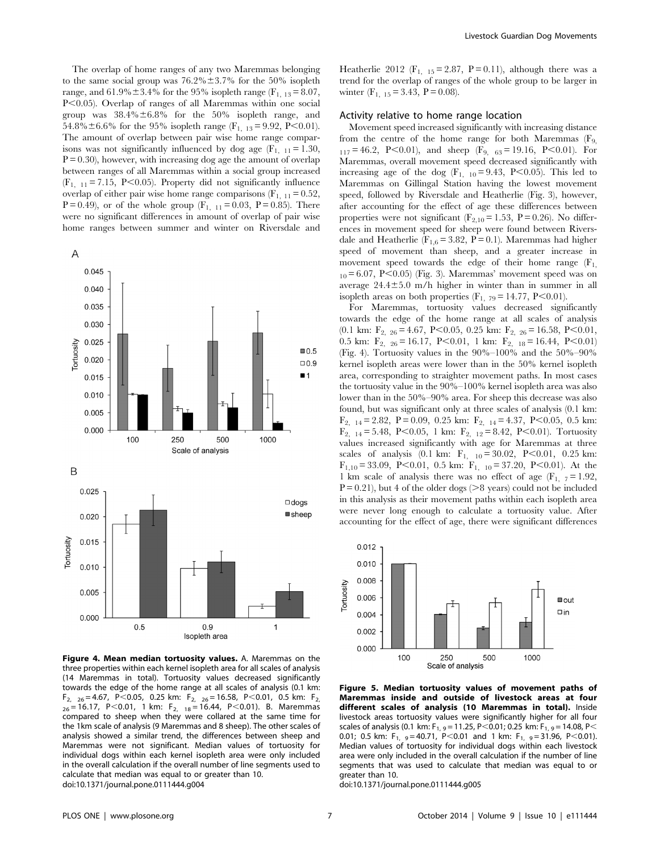The overlap of home ranges of any two Maremmas belonging to the same social group was  $76.2\% \pm 3.7\%$  for the 50% isopleth range, and  $61.9\% \pm 3.4\%$  for the 95% isopleth range (F<sub>1, 13</sub> = 8.07, P<0.05). Overlap of ranges of all Maremmas within one social group was  $38.4\% \pm 6.8\%$  for the 50% isopleth range, and 54.8% $\pm$ 6.6% for the 95% isopleth range (F<sub>1, 13</sub> = 9.92, P<0.01). The amount of overlap between pair wise home range comparisons was not significantly influenced by dog age  $(F_{1, 11} = 1.30,$  $P = 0.30$ , however, with increasing dog age the amount of overlap between ranges of all Maremmas within a social group increased  $(F_{1, 11} = 7.15, P < 0.05)$ . Property did not significantly influence overlap of either pair wise home range comparisons  $(F_{1, 11} = 0.52)$ , P = 0.49), or of the whole group  $(F_{1, 11} = 0.03, P = 0.85)$ . There were no significant differences in amount of overlap of pair wise home ranges between summer and winter on Riversdale and



Figure 4. Mean median tortuosity values. A. Maremmas on the three properties within each kernel isopleth area for all scales of analysis (14 Maremmas in total). Tortuosity values decreased significantly towards the edge of the home range at all scales of analysis (0.1 km:  $F_{2, 26}$  = 4.67, P < 0.05, 0.25 km:  $F_{2, 26}$  = 16.58, P < 0.01, 0.5 km:  $F_{2, 26}$  $_{26}$  = 16.17, P $<$ 0.01, 1 km: F<sub>2, 18</sub> = 16.44, P $<$ 0.01). B. Maremmas compared to sheep when they were collared at the same time for the 1km scale of analysis (9 Maremmas and 8 sheep). The other scales of analysis showed a similar trend, the differences between sheep and Maremmas were not significant. Median values of tortuosity for individual dogs within each kernel isopleth area were only included in the overall calculation if the overall number of line segments used to calculate that median was equal to or greater than 10. doi:10.1371/journal.pone.0111444.g004

Heatherlie 2012 (F<sub>1, 15</sub> = 2.87, P = 0.11), although there was a trend for the overlap of ranges of the whole group to be larger in winter  $(F_{1, 15} = 3.43, P = 0.08)$ .

# Activity relative to home range location

Movement speed increased significantly with increasing distance from the centre of the home range for both Maremmas  $(F<sub>9</sub>)$  $_{117} = 46.2$ , P<0.01), and sheep (F<sub>9, 63</sub> = 19.16, P<0.01). For Maremmas, overall movement speed decreased significantly with increasing age of the dog  $(F_{1, 10} = 9.43, P < 0.05)$ . This led to Maremmas on Gillingal Station having the lowest movement speed, followed by Riversdale and Heatherlie (Fig. 3), however, after accounting for the effect of age these differences between properties were not significant ( $F_{2,10} = 1.53$ ,  $P = 0.26$ ). No differences in movement speed for sheep were found between Riversdale and Heatherlie ( $F_{1,6}$  = 3.82, P = 0.1). Maremmas had higher speed of movement than sheep, and a greater increase in movement speed towards the edge of their home range  $(F_1)$ ,  $_{10}$  = 6.07, P<0.05) (Fig. 3). Maremmas' movement speed was on average  $24.4\pm5.0$  m/h higher in winter than in summer in all isopleth areas on both properties  $(F_1, 79) = 14.77$ , P $< 0.01$ ).

For Maremmas, tortuosity values decreased significantly towards the edge of the home range at all scales of analysis  $(0.1 \text{ km}; \text{F}_2, 26 = 4.67, \text{ P} < 0.05, 0.25 \text{ km}; \text{ F}_2, 26 = 16.58, \text{ P} < 0.01,$ 0.5 km:  $F_{2, 26} = 16.17, P < 0.01, 1$  km:  $F_{2, 18} = 16.44, P < 0.01$ (Fig. 4). Tortuosity values in the 90%–100% and the 50%–90% kernel isopleth areas were lower than in the 50% kernel isopleth area, corresponding to straighter movement paths. In most cases the tortuosity value in the 90%–100% kernel isopleth area was also lower than in the 50%–90% area. For sheep this decrease was also found, but was significant only at three scales of analysis (0.1 km:  $F_{2, 14} = 2.82, P = 0.09, 0.25$  km:  $F_{2, 14} = 4.37, P < 0.05, 0.5$  km:  $F_{2, 14} = 5.48, P < 0.05, 1 \text{ km: } F_{2, 12} = 8.42, P < 0.01$ ). Tortuosity values increased significantly with age for Maremmas at three scales of analysis (0.1 km:  $F_{1, 10} = 30.02$ , P<0.01, 0.25 km:  $F_{1,10} = 33.09$ , P<0.01, 0.5 km:  $F_{1, 10} = 37.20$ , P<0.01). At the 1 km scale of analysis there was no effect of age  $(F_1, 7=1.92,$  $P = 0.21$ , but 4 of the older dogs ( $>8$  years) could not be included in this analysis as their movement paths within each isopleth area were never long enough to calculate a tortuosity value. After accounting for the effect of age, there were significant differences



Figure 5. Median tortuosity values of movement paths of Maremmas inside and outside of livestock areas at four different scales of analysis (10 Maremmas in total). Inside livestock areas tortuosity values were significantly higher for all four scales of analysis (0.1 km:  $F_{1, 9} = 11.25$ , P $<$ 0.01; 0.25 km:  $F_{1, 9} = 14.08$ , P $<$ 0.01; 0.5 km:  $F_{1, 9} = 40.71, P < 0.01$  and 1 km:  $F_{1, 9} = 31.96, P < 0.01$ . Median values of tortuosity for individual dogs within each livestock area were only included in the overall calculation if the number of line segments that was used to calculate that median was equal to or greater than 10.

doi:10.1371/journal.pone.0111444.g005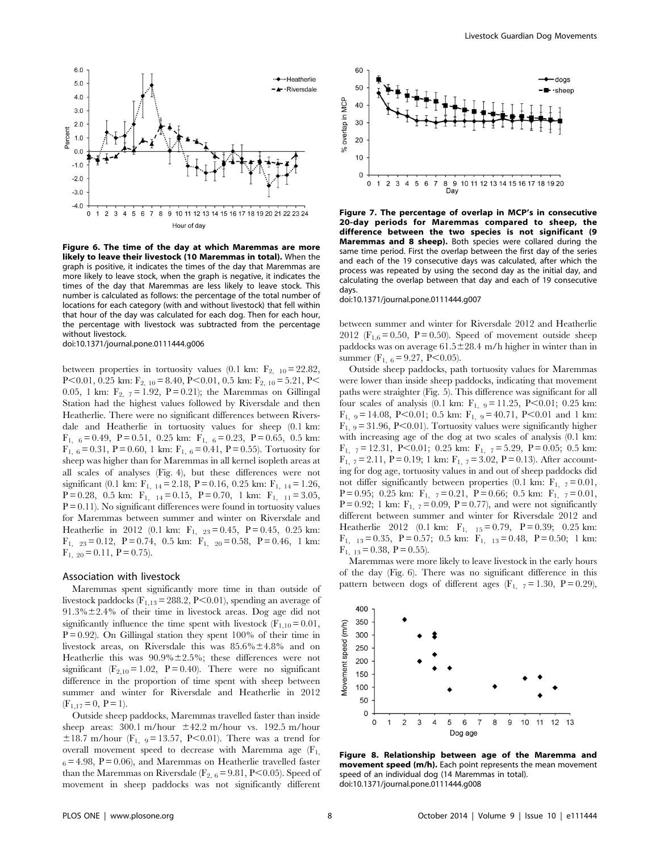

Figure 6. The time of the day at which Maremmas are more likely to leave their livestock (10 Maremmas in total). When the graph is positive, it indicates the times of the day that Maremmas are more likely to leave stock, when the graph is negative, it indicates the times of the day that Maremmas are less likely to leave stock. This number is calculated as follows: the percentage of the total number of locations for each category (with and without livestock) that fell within that hour of the day was calculated for each dog. Then for each hour, the percentage with livestock was subtracted from the percentage without livestock. doi:10.1371/journal.pone.0111444.g006

between properties in tortuosity values (0.1 km:  $F_{2, 10} = 22.82$ , P $<$ 0.01, 0.25 km: F<sub>2, 10</sub> = 8.40, P $<$ 0.01, 0.5 km: F<sub>2, 10</sub> = 5.21, P $<$ 0.05, 1 km:  $F_{2, 7} = 1.92$ ,  $P = 0.21$ ); the Maremmas on Gillingal Station had the highest values followed by Riversdale and then Heatherlie. There were no significant differences between Riversdale and Heatherlie in tortuosity values for sheep (0.1 km:  $F_{1,6} = 0.49, P = 0.51, 0.25$  km:  $F_{1,6} = 0.23, P = 0.65, 0.5$  km:  $F_{1,6} = 0.31$ ,  $P = 0.60$ , 1 km:  $F_{1,6} = 0.41$ ,  $P = 0.55$ ). Tortuosity for sheep was higher than for Maremmas in all kernel isopleth areas at all scales of analyses (Fig. 4), but these differences were not significant (0.1 km:  $F_{1, 14} = 2.18$ , P = 0.16, 0.25 km:  $F_{1, 14} = 1.26$ ,  $P = 0.28$ , 0.5 km:  $F_{1, 14} = 0.15$ ,  $P = 0.70$ , 1 km:  $F_{1, 11} = 3.05$ ,  $P = 0.11$ ). No significant differences were found in tortuosity values for Maremmas between summer and winter on Riversdale and Heatherlie in 2012 (0.1 km:  $F_{1, 23} = 0.45$ ,  $P = 0.45$ , 0.25 km:  $F_{1, 23} = 0.12$ ,  $P = 0.74$ , 0.5 km:  $F_{1, 20} = 0.58$ ,  $P = 0.46$ , 1 km:  $F_{1, 20} = 0.11$ ,  $P = 0.75$ ).

#### Association with livestock

Maremmas spent significantly more time in than outside of livestock paddocks ( $F_{1,13}$  = 288.2, P<0.01), spending an average of  $91.3\% \pm 2.4\%$  of their time in livestock areas. Dog age did not significantly influence the time spent with livestock  $(F_{1,10} = 0.01,$  $P = 0.92$ ). On Gillingal station they spent 100% of their time in livestock areas, on Riversdale this was  $85.6\% \pm 4.8\%$  and on Heatherlie this was  $90.9\% \pm 2.5\%$ ; these differences were not significant ( $F_{2,10} = 1.02$ ,  $P = 0.40$ ). There were no significant difference in the proportion of time spent with sheep between summer and winter for Riversdale and Heatherlie in 2012  $(F_{1,17}= 0, P = 1).$ 

Outside sheep paddocks, Maremmas travelled faster than inside sheep areas:  $300.1 \text{ m/hour} \pm 42.2 \text{ m/hour}$  vs. 192.5 m/hour  $\pm 18.7$  m/hour (F<sub>1, 9</sub> = 13.57, P<0.01). There was a trend for overall movement speed to decrease with Maremma age  $(F_1)$ ,  $_6$  = 4.98, P = 0.06), and Maremmas on Heatherlie travelled faster than the Maremmas on Riversdale ( $F_{2,6}$  = 9.81, P<0.05). Speed of movement in sheep paddocks was not significantly different



Figure 7. The percentage of overlap in MCP's in consecutive 20-day periods for Maremmas compared to sheep, the difference between the two species is not significant (9 Maremmas and 8 sheep). Both species were collared during the same time period. First the overlap between the first day of the series and each of the 19 consecutive days was calculated, after which the process was repeated by using the second day as the initial day, and calculating the overlap between that day and each of 19 consecutive days.

doi:10.1371/journal.pone.0111444.g007

between summer and winter for Riversdale 2012 and Heatherlie 2012 ( $F_{1,6} = 0.50$ ,  $P = 0.50$ ). Speed of movement outside sheep paddocks was on average  $61.5 \pm 28.4$  m/h higher in winter than in summer (F<sub>1, 6</sub> = 9.27, P<0.05).

Outside sheep paddocks, path tortuosity values for Maremmas were lower than inside sheep paddocks, indicating that movement paths were straighter (Fig. 5). This difference was significant for all four scales of analysis (0.1 km:  $F_{1, 9} = 11.25, P < 0.01; 0.25$  km:  $F_{1, 9} = 14.08$ , P<0.01; 0.5 km:  $F_{1, 9} = 40.71$ , P<0.01 and 1 km:  $F_{1,9} = 31.96$ , P $< 0.01$ ). Tortuosity values were significantly higher with increasing age of the dog at two scales of analysis (0.1 km:  $F_{1, 7} = 12.31, P < 0.01; 0.25$  km:  $F_{1, 7} = 5.29, P = 0.05; 0.5$  km:  $F_{1, 7} = 2.11$ ,  $P = 0.19$ ; 1 km:  $F_{1, 7} = 3.02$ ,  $P = 0.13$ ). After accounting for dog age, tortuosity values in and out of sheep paddocks did not differ significantly between properties (0.1 km:  $F_{1, 7} = 0.01$ , P = 0.95; 0.25 km:  $F_{1, 7} = 0.21$ , P = 0.66; 0.5 km:  $F_{1, 7} = 0.01$ , P = 0.92; 1 km:  $F_{1, 7} = 0.09$ , P = 0.77), and were not significantly different between summer and winter for Riversdale 2012 and Heatherlie 2012 (0.1 km:  $F_{1, 15} = 0.79$ ,  $P = 0.39$ ; 0.25 km:  $F_{1, 13} = 0.35, P = 0.57; 0.5$  km:  $F_{1, 13} = 0.48, P = 0.50; 1$  km:  $F_{1, 13} = 0.38, P = 0.55$ .

Maremmas were more likely to leave livestock in the early hours of the day (Fig. 6). There was no significant difference in this pattern between dogs of different ages  $(F_{1, 7} = 1.30, P = 0.29)$ ,



Figure 8. Relationship between age of the Maremma and movement speed (m/h). Each point represents the mean movement speed of an individual dog (14 Maremmas in total). doi:10.1371/journal.pone.0111444.g008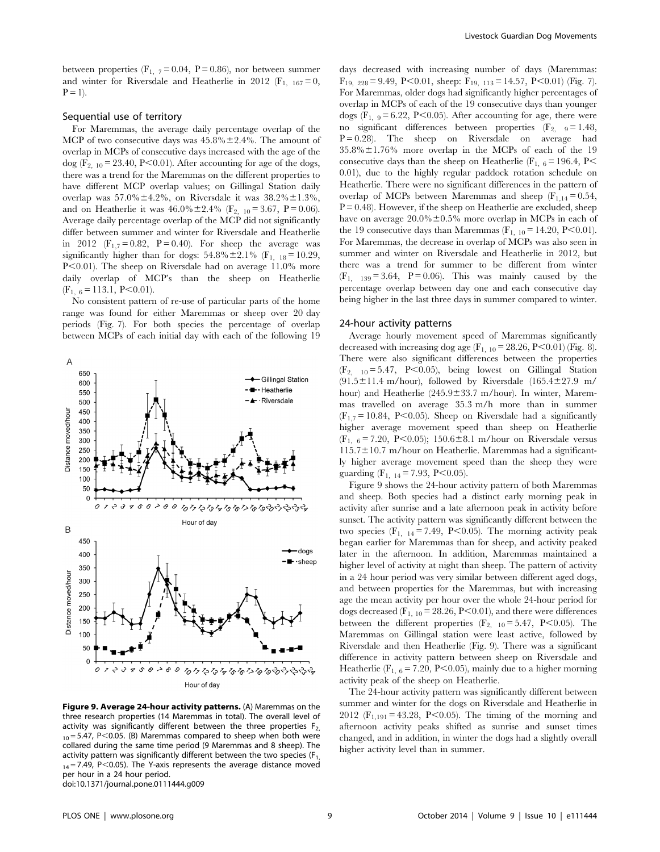between properties ( $F_1$ ,  $7 = 0.04$ ,  $P = 0.86$ ), nor between summer and winter for Riversdale and Heatherlie in 2012 ( $F_{1, 167} = 0$ ,  $P = 1$ ).

# Sequential use of territory

For Maremmas, the average daily percentage overlap of the MCP of two consecutive days was  $45.8\% \pm 2.4\%$ . The amount of overlap in MCPs of consecutive days increased with the age of the dog ( $F_{2, 10}$  = 23.40, P<0.01). After accounting for age of the dogs, there was a trend for the Maremmas on the different properties to have different MCP overlap values; on Gillingal Station daily overlap was  $57.0\% \pm 4.2\%$ , on Riversdale it was  $38.2\% \pm 1.3\%$ , and on Heatherlie it was  $46.0\% \pm 2.4\%$  (F<sub>2, 10</sub> = 3.67, P = 0.06). Average daily percentage overlap of the MCP did not significantly differ between summer and winter for Riversdale and Heatherlie in 2012 ( $F_{1,7} = 0.82$ ,  $P = 0.40$ ). For sheep the average was significantly higher than for dogs:  $54.8\% \pm 2.1\%$  (F<sub>1, 18</sub> = 10.29, P<0.01). The sheep on Riversdale had on average 11.0% more daily overlap of MCP's than the sheep on Heatherlie  $(F<sub>1, 6</sub> = 113.1, P<0.01).$ 

No consistent pattern of re-use of particular parts of the home range was found for either Maremmas or sheep over 20 day periods (Fig. 7). For both species the percentage of overlap between MCPs of each initial day with each of the following 19



Figure 9. Average 24-hour activity patterns. (A) Maremmas on the three research properties (14 Maremmas in total). The overall level of activity was significantly different between the three properties  $F_{2}$ ,  $10 = 5.47$ , P<0.05. (B) Maremmas compared to sheep when both were collared during the same time period (9 Maremmas and 8 sheep). The activity pattern was significantly different between the two species ( $F_1$ ,  $_{14}$  = 7.49, P $<$ 0.05). The Y-axis represents the average distance moved per hour in a 24 hour period. doi:10.1371/journal.pone.0111444.g009

days decreased with increasing number of days (Maremmas:  $F_{19, 228} = 9.49, P < 0.01$ , sheep:  $F_{19, 113} = 14.57, P < 0.01$  (Fig. 7). For Maremmas, older dogs had significantly higher percentages of overlap in MCPs of each of the 19 consecutive days than younger dogs  $(F_1, 9) = 6.22$ , P<0.05). After accounting for age, there were no significant differences between properties  $(F_{2} \t 9 = 1.48$ ,  $P = 0.28$ ). The sheep on Riversdale on average had  $35.8\% \pm 1.76\%$  more overlap in the MCPs of each of the 19 consecutive days than the sheep on Heatherlie ( $F_{1,6}$  = 196.4, P $<$ 0.01), due to the highly regular paddock rotation schedule on Heatherlie. There were no significant differences in the pattern of overlap of MCPs between Maremmas and sheep  $(F_{1,14}= 0.54,$  $P = 0.48$ . However, if the sheep on Heatherlie are excluded, sheep have on average  $20.0\% \pm 0.5\%$  more overlap in MCPs in each of the 19 consecutive days than Maremmas  $(F_{1, 10} = 14.20, P<0.01)$ . For Maremmas, the decrease in overlap of MCPs was also seen in summer and winter on Riversdale and Heatherlie in 2012, but there was a trend for summer to be different from winter  $(F<sub>1</sub>, 139) = 3.64$ ,  $P = 0.06$ ). This was mainly caused by the percentage overlap between day one and each consecutive day being higher in the last three days in summer compared to winter.

#### 24-hour activity patterns

Average hourly movement speed of Maremmas significantly decreased with increasing dog age  $(F_{1, 10} = 28.26, P < 0.01)$  (Fig. 8). There were also significant differences between the properties  $(F_{2, 10} = 5.47, P < 0.05)$ , being lowest on Gillingal Station  $(91.5 \pm 11.4 \text{ m/hour})$ , followed by Riversdale (165.4 $\pm$ 27.9 m/ hour) and Heatherlie  $(245.9 \pm 33.7 \text{ m/hour})$ . In winter, Maremmas travelled on average 35.3 m/h more than in summer  $(F_{1,7} = 10.84, P < 0.05)$ . Sheep on Riversdale had a significantly higher average movement speed than sheep on Heatherlie  $(F_{1, 6} = 7.20, P<0.05)$ ; 150.6±8.1 m/hour on Riversdale versus  $115.7 \pm 10.7$  m/hour on Heatherlie. Maremmas had a significantly higher average movement speed than the sheep they were guarding  $(F_{1, 14} = 7.93, P < 0.05)$ .

Figure 9 shows the 24-hour activity pattern of both Maremmas and sheep. Both species had a distinct early morning peak in activity after sunrise and a late afternoon peak in activity before sunset. The activity pattern was significantly different between the two species  $(F_{1, 14} = 7.49, P \le 0.05)$ . The morning activity peak began earlier for Maremmas than for sheep, and activity peaked later in the afternoon. In addition, Maremmas maintained a higher level of activity at night than sheep. The pattern of activity in a 24 hour period was very similar between different aged dogs, and between properties for the Maremmas, but with increasing age the mean activity per hour over the whole 24-hour period for dogs decreased  $(F_{1, 10} = 28.26, P \le 0.01)$ , and there were differences between the different properties  $(F_{2, 10} = 5.47, P<0.05)$ . The Maremmas on Gillingal station were least active, followed by Riversdale and then Heatherlie (Fig. 9). There was a significant difference in activity pattern between sheep on Riversdale and Heatherlie (F<sub>1, 6</sub> = 7.20, P<0.05), mainly due to a higher morning activity peak of the sheep on Heatherlie.

The 24-hour activity pattern was significantly different between summer and winter for the dogs on Riversdale and Heatherlie in 2012 ( $F_{1,191} = 43.28$ , P<0.05). The timing of the morning and afternoon activity peaks shifted as sunrise and sunset times changed, and in addition, in winter the dogs had a slightly overall higher activity level than in summer.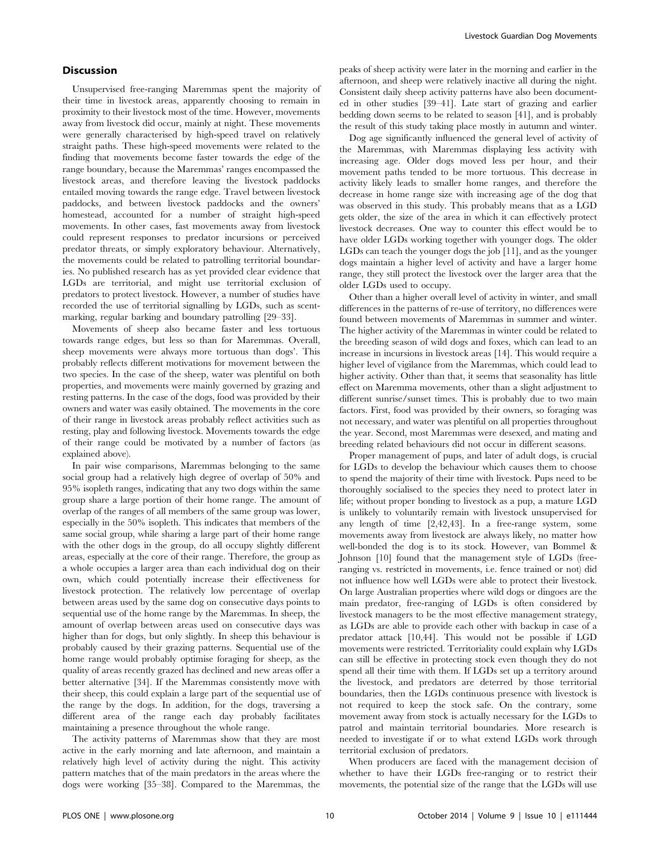# **Discussion**

Unsupervised free-ranging Maremmas spent the majority of their time in livestock areas, apparently choosing to remain in proximity to their livestock most of the time. However, movements away from livestock did occur, mainly at night. These movements were generally characterised by high-speed travel on relatively straight paths. These high-speed movements were related to the finding that movements become faster towards the edge of the range boundary, because the Maremmas' ranges encompassed the livestock areas, and therefore leaving the livestock paddocks entailed moving towards the range edge. Travel between livestock paddocks, and between livestock paddocks and the owners' homestead, accounted for a number of straight high-speed movements. In other cases, fast movements away from livestock could represent responses to predator incursions or perceived predator threats, or simply exploratory behaviour. Alternatively, the movements could be related to patrolling territorial boundaries. No published research has as yet provided clear evidence that LGDs are territorial, and might use territorial exclusion of predators to protect livestock. However, a number of studies have recorded the use of territorial signalling by LGDs, such as scentmarking, regular barking and boundary patrolling [29–33].

Movements of sheep also became faster and less tortuous towards range edges, but less so than for Maremmas. Overall, sheep movements were always more tortuous than dogs'. This probably reflects different motivations for movement between the two species. In the case of the sheep, water was plentiful on both properties, and movements were mainly governed by grazing and resting patterns. In the case of the dogs, food was provided by their owners and water was easily obtained. The movements in the core of their range in livestock areas probably reflect activities such as resting, play and following livestock. Movements towards the edge of their range could be motivated by a number of factors (as explained above).

In pair wise comparisons, Maremmas belonging to the same social group had a relatively high degree of overlap of 50% and 95% isopleth ranges, indicating that any two dogs within the same group share a large portion of their home range. The amount of overlap of the ranges of all members of the same group was lower, especially in the 50% isopleth. This indicates that members of the same social group, while sharing a large part of their home range with the other dogs in the group, do all occupy slightly different areas, especially at the core of their range. Therefore, the group as a whole occupies a larger area than each individual dog on their own, which could potentially increase their effectiveness for livestock protection. The relatively low percentage of overlap between areas used by the same dog on consecutive days points to sequential use of the home range by the Maremmas. In sheep, the amount of overlap between areas used on consecutive days was higher than for dogs, but only slightly. In sheep this behaviour is probably caused by their grazing patterns. Sequential use of the home range would probably optimise foraging for sheep, as the quality of areas recently grazed has declined and new areas offer a better alternative [34]. If the Maremmas consistently move with their sheep, this could explain a large part of the sequential use of the range by the dogs. In addition, for the dogs, traversing a different area of the range each day probably facilitates maintaining a presence throughout the whole range.

The activity patterns of Maremmas show that they are most active in the early morning and late afternoon, and maintain a relatively high level of activity during the night. This activity pattern matches that of the main predators in the areas where the dogs were working [35–38]. Compared to the Maremmas, the

peaks of sheep activity were later in the morning and earlier in the afternoon, and sheep were relatively inactive all during the night. Consistent daily sheep activity patterns have also been documented in other studies [39–41]. Late start of grazing and earlier bedding down seems to be related to season [41], and is probably the result of this study taking place mostly in autumn and winter.

Dog age significantly influenced the general level of activity of the Maremmas, with Maremmas displaying less activity with increasing age. Older dogs moved less per hour, and their movement paths tended to be more tortuous. This decrease in activity likely leads to smaller home ranges, and therefore the decrease in home range size with increasing age of the dog that was observed in this study. This probably means that as a LGD gets older, the size of the area in which it can effectively protect livestock decreases. One way to counter this effect would be to have older LGDs working together with younger dogs. The older LGDs can teach the younger dogs the job [11], and as the younger dogs maintain a higher level of activity and have a larger home range, they still protect the livestock over the larger area that the older LGDs used to occupy.

Other than a higher overall level of activity in winter, and small differences in the patterns of re-use of territory, no differences were found between movements of Maremmas in summer and winter. The higher activity of the Maremmas in winter could be related to the breeding season of wild dogs and foxes, which can lead to an increase in incursions in livestock areas [14]. This would require a higher level of vigilance from the Maremmas, which could lead to higher activity. Other than that, it seems that seasonality has little effect on Maremma movements, other than a slight adjustment to different sunrise/sunset times. This is probably due to two main factors. First, food was provided by their owners, so foraging was not necessary, and water was plentiful on all properties throughout the year. Second, most Maremmas were desexed, and mating and breeding related behaviours did not occur in different seasons.

Proper management of pups, and later of adult dogs, is crucial for LGDs to develop the behaviour which causes them to choose to spend the majority of their time with livestock. Pups need to be thoroughly socialised to the species they need to protect later in life; without proper bonding to livestock as a pup, a mature LGD is unlikely to voluntarily remain with livestock unsupervised for any length of time [2,42,43]. In a free-range system, some movements away from livestock are always likely, no matter how well-bonded the dog is to its stock. However, van Bommel & Johnson [10] found that the management style of LGDs (freeranging vs. restricted in movements, i.e. fence trained or not) did not influence how well LGDs were able to protect their livestock. On large Australian properties where wild dogs or dingoes are the main predator, free-ranging of LGDs is often considered by livestock managers to be the most effective management strategy, as LGDs are able to provide each other with backup in case of a predator attack [10,44]. This would not be possible if LGD movements were restricted. Territoriality could explain why LGDs can still be effective in protecting stock even though they do not spend all their time with them. If LGDs set up a territory around the livestock, and predators are deterred by those territorial boundaries, then the LGDs continuous presence with livestock is not required to keep the stock safe. On the contrary, some movement away from stock is actually necessary for the LGDs to patrol and maintain territorial boundaries. More research is needed to investigate if or to what extend LGDs work through territorial exclusion of predators.

When producers are faced with the management decision of whether to have their LGDs free-ranging or to restrict their movements, the potential size of the range that the LGDs will use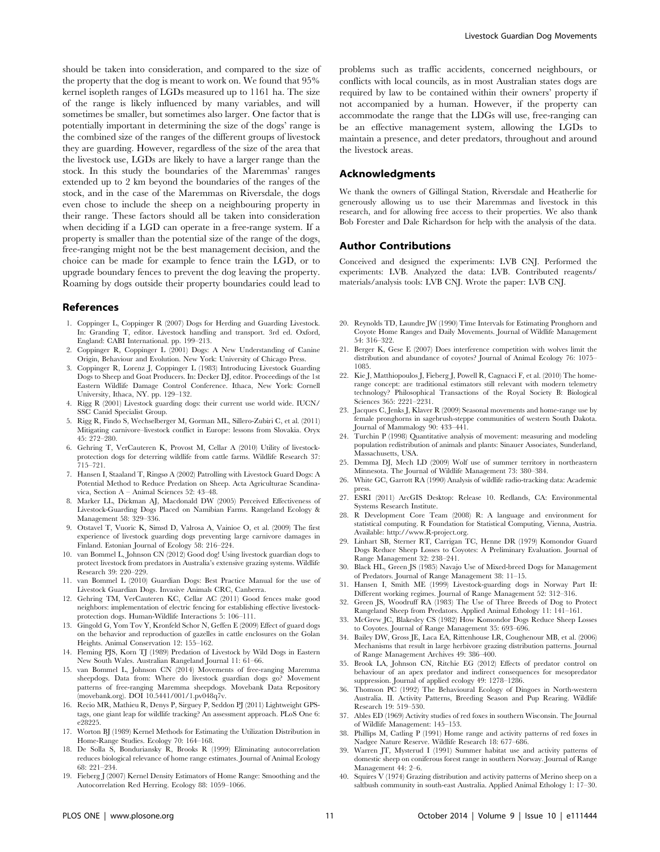should be taken into consideration, and compared to the size of the property that the dog is meant to work on. We found that 95% kernel isopleth ranges of LGDs measured up to 1161 ha. The size of the range is likely influenced by many variables, and will sometimes be smaller, but sometimes also larger. One factor that is potentially important in determining the size of the dogs' range is the combined size of the ranges of the different groups of livestock they are guarding. However, regardless of the size of the area that the livestock use, LGDs are likely to have a larger range than the stock. In this study the boundaries of the Maremmas' ranges extended up to 2 km beyond the boundaries of the ranges of the stock, and in the case of the Maremmas on Riversdale, the dogs even chose to include the sheep on a neighbouring property in their range. These factors should all be taken into consideration when deciding if a LGD can operate in a free-range system. If a property is smaller than the potential size of the range of the dogs, free-ranging might not be the best management decision, and the choice can be made for example to fence train the LGD, or to upgrade boundary fences to prevent the dog leaving the property. Roaming by dogs outside their property boundaries could lead to

# References

- 1. Coppinger L, Coppinger R (2007) Dogs for Herding and Guarding Livestock. In: Granding T, editor. Livestock handling and transport. 3rd ed. Oxford, England: CABI International. pp. 199–213.
- 2. Coppinger R, Coppinger L (2001) Dogs: A New Understanding of Canine Origin, Behaviour and Evolution. New York: University of Chicago Press.
- 3. Coppinger R, Lorenz J, Coppinger L (1983) Introducing Livestock Guarding Dogs to Sheep and Goat Producers. In: Decker DJ, editor. Proceedings of the 1st Eastern Wildlife Damage Control Conference. Ithaca, New York: Cornell University, Ithaca, NY. pp. 129–132.
- 4. Rigg R (2001) Livestock guarding dogs: their current use world wide. IUCN/ SSC Canid Specialist Group.
- 5. Rigg R, Findo S, Wechselberger M, Gorman ML, Sillero-Zubiri C, et al. (2011) Mitigating carnivore–livestock conflict in Europe: lessons from Slovakia. Oryx 45: 272–280.
- 6. Gehring T, VerCauteren K, Provost M, Cellar A (2010) Utility of livestockprotection dogs for deterring wildlife from cattle farms. Wildlife Research 37: 715–721.
- 7. Hansen I, Staaland T, Ringsø A (2002) Patrolling with Livestock Guard Dogs: A Potential Method to Reduce Predation on Sheep. Acta Agriculturae Scandinavica, Section A – Animal Sciences 52: 43–48.
- 8. Marker LL, Dickman AJ, Macdonald DW (2005) Perceived Effectiveness of Livestock-Guarding Dogs Placed on Namibian Farms. Rangeland Ecology & Management 58: 329–336.
- 9. Otstavel T, Vuoric K, Simsd D, Valrosa A, Vainioe O, et al. (2009) The first experience of livestock guarding dogs preventing large carnivore damages in Finland. Estonian Journal of Ecology 58: 216–224.
- 10. van Bommel L, Johnson CN (2012) Good dog! Using livestock guardian dogs to protect livestock from predators in Australia's extensive grazing systems. Wildlife Research 39: 220–229.
- 11. van Bommel L (2010) Guardian Dogs: Best Practice Manual for the use of Livestock Guardian Dogs. Invasive Animals CRC, Canberra.
- 12. Gehring TM, VerCauteren KC, Cellar AC (2011) Good fences make good neighbors: implementation of electric fencing for establishing effective livestockprotection dogs. Human-Wildlife Interactions 5: 106–111.
- 13. Gingold G, Yom Tov Y, Kronfeld Schor N, Geffen E (2009) Effect of guard dogs on the behavior and reproduction of gazelles in cattle enclosures on the Golan Heights. Animal Conservation 12: 155–162.
- 14. Fleming PJS, Korn TJ (1989) Predation of Livestock by Wild Dogs in Eastern New South Wales. Australian Rangeland Journal 11: 61–66.
- 15. van Bommel L, Johnson CN (2014) Movements of free-ranging Maremma sheepdogs. Data from: Where do livestock guardian dogs go? Movement patterns of free-ranging Maremma sheepdogs. Movebank Data Repository (movebank.org). DOI 10.5441/001/1.pv048q7v.
- 16. Recio MR, Mathieu R, Denys P, Sirguey P, Seddon PJ (2011) Lightweight GPStags, one giant leap for wildlife tracking? An assessment approach. PLoS One 6: e28225.
- 17. Worton BJ (1989) Kernel Methods for Estimating the Utilization Distribution in Home-Range Studies. Ecology 70: 164–168.
- 18. De Solla S, Bonduriansky R, Brooks R (1999) Eliminating autocorrelation reduces biological relevance of home range estimates. Journal of Animal Ecology 68: 221–234.
- 19. Fieberg J (2007) Kernel Density Estimators of Home Range: Smoothing and the Autocorrelation Red Herring. Ecology 88: 1059–1066.

problems such as traffic accidents, concerned neighbours, or conflicts with local councils, as in most Australian states dogs are required by law to be contained within their owners' property if not accompanied by a human. However, if the property can accommodate the range that the LDGs will use, free-ranging can be an effective management system, allowing the LGDs to maintain a presence, and deter predators, throughout and around the livestock areas.

#### Acknowledgments

We thank the owners of Gillingal Station, Riversdale and Heatherlie for generously allowing us to use their Maremmas and livestock in this research, and for allowing free access to their properties. We also thank Bob Forester and Dale Richardson for help with the analysis of the data.

### Author Contributions

Conceived and designed the experiments: LVB CNJ. Performed the experiments: LVB. Analyzed the data: LVB. Contributed reagents/ materials/analysis tools: LVB CNJ. Wrote the paper: LVB CNJ.

- 20. Reynolds TD, Laundre JW (1990) Time Intervals for Estimating Pronghorn and Coyote Home Ranges and Daily Movements. Journal of Wildlife Management 54: 316–322.
- 21. Berger K, Gese E (2007) Does interference competition with wolves limit the distribution and abundance of coyotes? Journal of Animal Ecology 76: 1075– 1085.
- 22. Kie J, Matthiopoulos J, Fieberg J, Powell R, Cagnacci F, et al. (2010) The homerange concept: are traditional estimators still relevant with modern telemetry technology? Philosophical Transactions of the Royal Society B: Biological Sciences 365: 2221–2231.
- 23. Jacques C, Jenks J, Klaver R (2009) Seasonal movements and home-range use by female pronghorns in sagebrush-steppe communities of western South Dakota. Journal of Mammalogy 90: 433–441.
- 24. Turchin P (1998) Quantitative analysis of movement: measuring and modeling population redistribution of animals and plants: Sinauer Associates, Sunderland, Massachusetts, USA.
- 25. Demma DJ, Mech LD (2009) Wolf use of summer territory in northeastern Minnesota. The Journal of Wildlife Management 73: 380–384.
- 26. White GC, Garrott RA (1990) Analysis of wildlife radio-tracking data: Academic press.
- 27. ESRI (2011) ArcGIS Desktop: Release 10. Redlands, CA: Environmental Systems Research Institute.
- 28. R Development Core Team (2008) R: A language and environment for statistical computing. R Foundation for Statistical Computing, Vienna, Austria. Available:<http://www.R-project.org>.
- 29. Linhart SB, Sterner RT, Carrigan TC, Henne DR (1979) Komondor Guard Dogs Reduce Sheep Losses to Coyotes: A Preliminary Evaluation. Journal of Range Management 32: 238–241.
- 30. Black HL, Green JS (1985) Navajo Use of Mixed-breed Dogs for Management of Predators. Journal of Range Management 38: 11–15.
- 31. Hansen I, Smith ME (1999) Livestock-guarding dogs in Norway Part II: Different working regimes. Journal of Range Management 52: 312–316.
- 32. Green JS, Woodruff RA (1983) The Use of Three Breeds of Dog to Protect Rangeland Sheep from Predators. Applied Animal Ethology 11: 141–161.
- 33. McGrew JC, Blakesley CS (1982) How Komondor Dogs Reduce Sheep Losses to Coyotes. Journal of Range Management 35: 693–696.
- 34. Bailey DW, Gross JE, Laca EA, Rittenhouse LR, Coughenour MB, et al. (2006) Mechanisms that result in large herbivore grazing distribution patterns. Journal of Range Management Archives 49: 386–400.
- 35. Brook LA, Johnson CN, Ritchie EG (2012) Effects of predator control on behaviour of an apex predator and indirect consequences for mesopredator suppression. Journal of applied ecology 49: 1278–1286.
- 36. Thomson PC (1992) The Behavioural Ecology of Dingoes in North-western Australia. II. Activity Patterns, Breeding Season and Pup Rearing. Wildlife Research 19: 519–530.
- 37. Ables ED (1969) Activity studies of red foxes in southern Wisconsin. The Journal of Wildlife Management: 145–153.
- 38. Phillips M, Catling P (1991) Home range and activity patterns of red foxes in Nadgee Nature Reserve. Wildlife Research 18: 677–686.
- 39. Warren JT, Mysterud I (1991) Summer habitat use and activity patterns of domestic sheep on coniferous forest range in southern Norway. Journal of Range Management 44: 2–6.
- 40. Squires V (1974) Grazing distribution and activity patterns of Merino sheep on a saltbush community in south-east Australia. Applied Animal Ethology 1: 17–30.